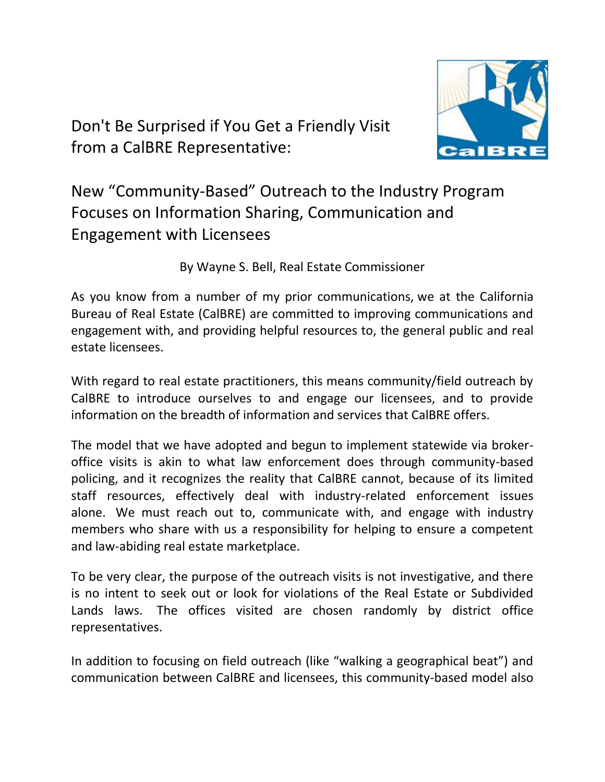Don't Be Surprised if You Get a Friendly Visit from a CalBRE Representative:



New "Community-Based" Outreach to the Industry Program Focuses on Information Sharing, Communication and Engagement with Licensees

By Wayne S. Bell, Real Estate Commissioner

As you know from a number of my prior communications, we at the California Bureau of Real Estate (CalBRE) are committed to improving communications and engagement with, and providing helpful resources to, the general public and real estate licensees.

With regard to real estate practitioners, this means community/field outreach by CalBRE to introduce ourselves to and engage our licensees, and to provide information on the breadth of information and services that CalBRE offers.

The model that we have adopted and begun to implement statewide via brokeroffice visits is akin to what law enforcement does through community-based policing, and it recognizes the reality that CalBRE cannot, because of its limited staff resources, effectively deal with industry-related enforcement issues alone. We must reach out to, communicate with, and engage with industry members who share with us a responsibility for helping to ensure a competent and law-abiding real estate marketplace.

To be very clear, the purpose of the outreach visits is not investigative, and there is no intent to seek out or look for violations of the Real Estate or Subdivided Lands laws. The offices visited are chosen randomly by district office representatives.

In addition to focusing on field outreach (like "walking a geographical beat") and communication between CalBRE and licensees, this community-based model also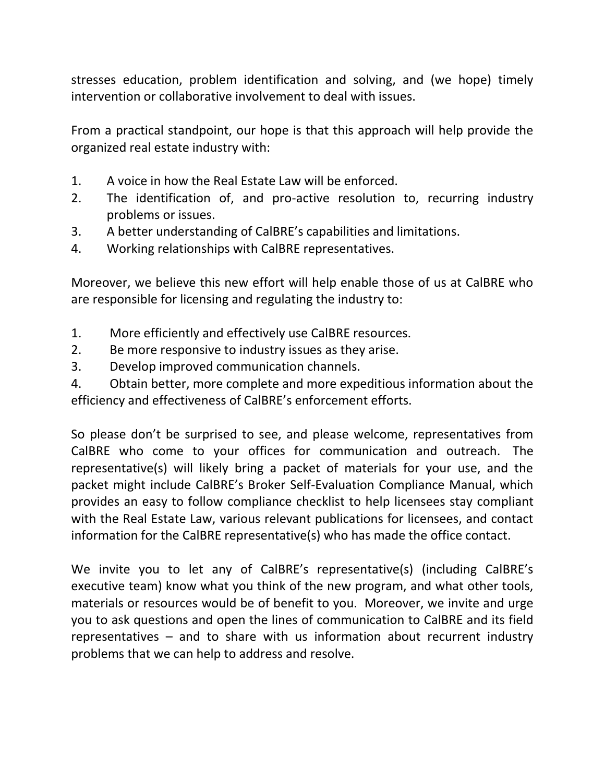stresses education, problem identification and solving, and (we hope) timely intervention or collaborative involvement to deal with issues.

From a practical standpoint, our hope is that this approach will help provide the organized real estate industry with:

- 1. A voice in how the Real Estate Law will be enforced.
- 2. The identification of, and pro-active resolution to, recurring industry problems or issues.
- 3. A better understanding of CalBRE's capabilities and limitations.
- 4. Working relationships with CalBRE representatives.

Moreover, we believe this new effort will help enable those of us at CalBRE who are responsible for licensing and regulating the industry to:

- 1. More efficiently and effectively use CalBRE resources.
- 2. Be more responsive to industry issues as they arise.
- 3. Develop improved communication channels.

4. Obtain better, more complete and more expeditious information about the efficiency and effectiveness of CalBRE's enforcement efforts.

So please don't be surprised to see, and please welcome, representatives from CalBRE who come to your offices for communication and outreach. The representative(s) will likely bring a packet of materials for your use, and the packet might include CalBRE's Broker Self-Evaluation Compliance Manual, which provides an easy to follow compliance checklist to help licensees stay compliant with the Real Estate Law, various relevant publications for licensees, and contact information for the CalBRE representative(s) who has made the office contact.

We invite you to let any of CalBRE's representative(s) (including CalBRE's executive team) know what you think of the new program, and what other tools, materials or resources would be of benefit to you. Moreover, we invite and urge you to ask questions and open the lines of communication to CalBRE and its field representatives – and to share with us information about recurrent industry problems that we can help to address and resolve.